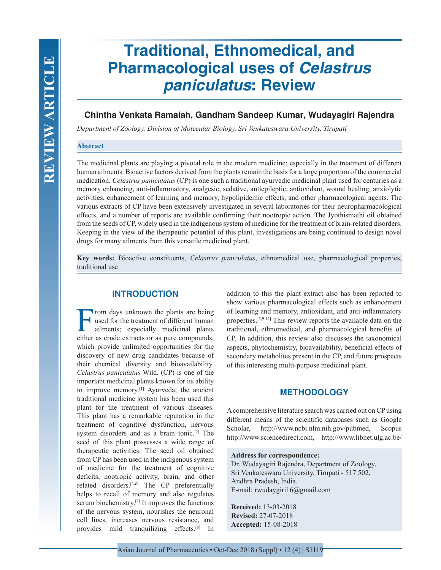# **Traditional, Ethnomedical, and Pharmacological uses of** *Celastrus paniculatus***: Review**

# **Chintha Venkata Ramaiah, Gandham Sandeep Kumar, Wudayagiri Rajendra**

*Department of Zoology, Division of Molecular Biology, Sri Venkateswara University, Tirupati*

# **Abstract**

The medicinal plants are playing a pivotal role in the modern medicine; especially in the treatment of different human ailments. Bioactive factors derived from the plants remain the basis for a large proportion of the commercial medication. *Celastrus paniculatus* (CP) is one such a traditional ayurvedic medicinal plant used for centuries as a memory enhancing, anti-inflammatory, analgesic, sedative, antiepileptic, antioxidant, wound healing, anxiolytic activities, enhancement of learning and memory, hypolipidemic effects, and other pharmacological agents. The various extracts of CP have been extensively investigated in several laboratories for their neuropharmacological effects, and a number of reports are available confirming their nootropic action. The Jyothismathi oil obtained from the seeds of CP, widely used in the indigenous system of medicine for the treatment of brain-related disorders. Keeping in the view of the therapeutic potential of this plant, investigations are being continued to design novel drugs for many ailments from this versatile medicinal plant.

**Key words:** Bioactive constituents, *Celastrus paniculatus*, ethnomedical use, pharmacological properties, traditional use

# **INTRODUCTION**

From days unknown the plants are being<br>used for the treatment of different human<br>ailments; especially medicinal plants<br>either as crude extracts or as pure compounds used for the treatment of different human ailments; especially medicinal plants either as crude extracts or as pure compounds, which provide unlimited opportunities for the discovery of new drug candidates because of their chemical diversity and bioavailability. *Celastrus paniculatus* Wild. (CP) is one of the important medicinal plants known for its ability to improve memory.<sup>[1]</sup> Ayurveda, the ancient traditional medicine system has been used this plant for the treatment of various diseases. This plant has a remarkable reputation in the treatment of cognitive dysfunction, nervous system disorders and as a brain tonic.[2] The seed of this plant possesses a wide range of therapeutic activities. The seed oil obtained from CP has been used in the indigenous system of medicine for the treatment of cognitive deficits, nootropic activity, brain, and other related disorders.[3-6] The CP preferentially helps to recall of memory and also regulates serum biochemistry.[7] It improves the functions of the nervous system, nourishes the neuronal cell lines, increases nervous resistance, and provides mild tranquilizing effects.[8] In

addition to this the plant extract also has been reported to show various pharmacological effects such as enhancement of learning and memory, antioxidant, and anti-inflammatory properties.[5,9-12] This review reports the available data on the traditional, ethnomedical, and pharmacological benefits of CP. In addition, this review also discusses the taxonomical aspects, phytochemistry, bioavailability, beneficial effects of secondary metabolites present in the CP, and future prospects of this interesting multi-purpose medicinal plant.

# **METHODOLOGY**

A comprehensive literature search was carried out on CP using different means of the scientific databases such as Google Scholar, http://www.ncbi.nlm.nih.gov/pubmed, Scopus http://www.sciencedirect.com, http://www.libnet.ulg.ac.be/

#### **Address for correspondence:**

Dr. Wudayagiri Rajendra, Department of Zoology, Sri Venkateswara University, Tirupati - 517 502, Andhra Pradesh, India. E-mail: rwudaygiri16@gmail.com

**Received:** 13-03-2018 **Revised:** 27-07-2018 **Accepted:** 15-08-2018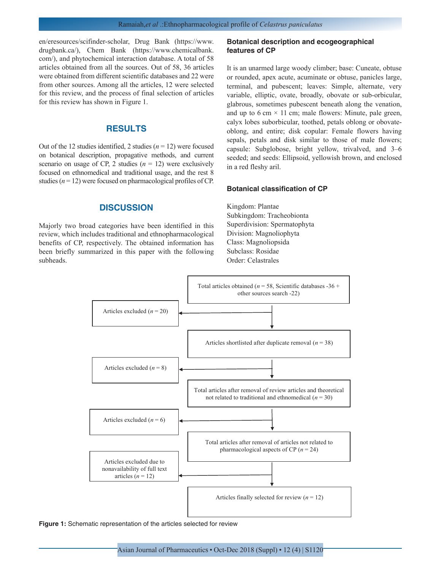en/eresources/scifinder-scholar, Drug Bank (https://www. drugbank.ca/), Chem Bank (https://www.chemicalbank. com/), and phytochemical interaction database. A total of 58 articles obtained from all the sources. Out of 58, 36 articles were obtained from different scientific databases and 22 were from other sources. Among all the articles, 12 were selected for this review, and the process of final selection of articles for this review has shown in Figure 1.

# **RESULTS**

Out of the 12 studies identified, 2 studies  $(n = 12)$  were focused on botanical description, propagative methods, and current scenario on usage of CP, 2 studies  $(n = 12)$  were exclusively focused on ethnomedical and traditional usage, and the rest 8 studies  $(n = 12)$  were focused on pharmacological profiles of CP.

# **DISCUSSION**

Majorly two broad categories have been identified in this review, which includes traditional and ethnopharmacological benefits of CP, respectively. The obtained information has been briefly summarized in this paper with the following subheads.

#### **Botanical description and ecogeographical features of CP**

It is an unarmed large woody climber; base: Cuneate, obtuse or rounded, apex acute, acuminate or obtuse, panicles large, terminal, and pubescent; leaves: Simple, alternate, very variable, elliptic, ovate, broadly, obovate or sub-orbicular, glabrous, sometimes pubescent beneath along the venation, and up to 6 cm  $\times$  11 cm; male flowers: Minute, pale green, calyx lobes suborbicular, toothed, petals oblong or obovateoblong, and entire; disk copular: Female flowers having sepals, petals and disk similar to those of male flowers; capsule: Subglobose, bright yellow, trivalved, and 3–6 seeded; and seeds: Ellipsoid, yellowish brown, and enclosed in a red fleshy aril.

#### **Botanical classification of CP**

Kingdom: Plantae Subkingdom: Tracheobionta Superdivision: Spermatophyta Division: Magnoliophyta Class: Magnoliopsida Subclass: Rosidae Order: Celastrales



**Figure 1:** Schematic representation of the articles selected for review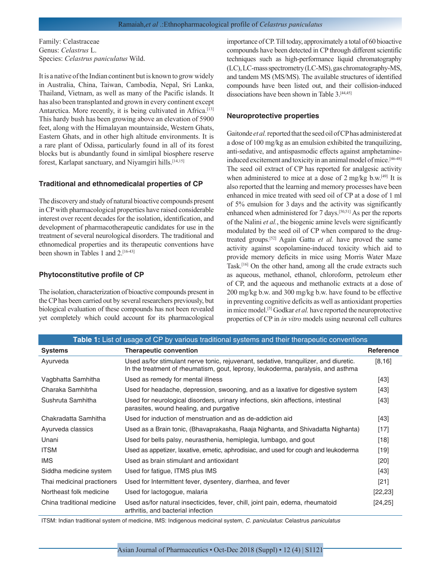Family: Celastraceae Genus: *Celastrus* L. Species: *Celastrus paniculatus* Wild.

It is a native of the Indian continent but is known to grow widely in Australia, China, Taiwan, Cambodia, Nepal, Sri Lanka, Thailand, Vietnam, as well as many of the Pacific islands. It has also been transplanted and grown in every continent except Antarctica. More recently, it is being cultivated in Africa.<sup>[13]</sup> This hardy bush has been growing above an elevation of 5900 feet, along with the Himalayan mountainside, Western Ghats, Eastern Ghats, and in other high altitude environments. It is a rare plant of Odissa, particularly found in all of its forest blocks but is abundantly found in simlipal biosphere reserve forest, Karlapat sanctuary, and Niyamgiri hills.<sup>[14,15]</sup>

#### **Traditional and ethnomedicalal properties of CP**

The discovery and study of natural bioactive compounds present in CP with pharmacological properties have raised considerable interest over recent decades for the isolation, identification, and development of pharmacotherapeutic candidates for use in the treatment of several neurological disorders. The traditional and ethnomedical properties and its therapeutic conventions have been shown in Tables 1 and 2.<sup>[16-43]</sup>

#### **Phytoconstitutive profile of CP**

The isolation, characterization of bioactive compounds present in the CP has been carried out by several researchers previously, but biological evaluation of these compounds has not been revealed yet completely which could account for its pharmacological importance of CP. Till today, approximately a total of 60 bioactive compounds have been detected in CP through different scientific techniques such as high-performance liquid chromatography (LC), LC-mass spectrometry (LC-MS), gas chromatography-MS, and tandem MS (MS/MS). The available structures of identified compounds have been listed out, and their collision-induced dissociations have been shown in Table 3.<sup>[44,45]</sup>

#### **Neuroprotective properties**

Gaitonde *et al.* reported that the seed oil of CP has administered at a dose of 100 mg/kg as an emulsion exhibited the tranquilizing, anti-sedative, and antispasmodic effects against amphetamineinduced excitement and toxicity in an animal model of mice.<sup>[46-48]</sup> The seed oil extract of CP has reported for analgesic activity when administered to mice at a dose of 2 mg/kg b.w.<sup>[49]</sup> It is also reported that the learning and memory processes have been enhanced in mice treated with seed oil of CP at a dose of 1 ml of 5% emulsion for 3 days and the activity was significantly enhanced when administered for 7 days.[50,51] As per the reports of the Nalini *et al.*, the biogenic amine levels were significantly modulated by the seed oil of CP when compared to the drugtreated groups.[52] Again Gattu *et al.* have proved the same activity against scopolamine-induced toxicity which aid to provide memory deficits in mice using Morris Water Maze Task.[16] On the other hand, among all the crude extracts such as aqueous, methanol, ethanol, chloroform, petroleum ether of CP, and the aqueous and methanolic extracts at a dose of 200 mg/kg b.w. and 300 mg/kg b.w. have found to be effective in preventing cognitive deficits as well as antioxidant properties in mice model.[5] Godkar *et al.* have reported the neuroprotective properties of CP in *in vitro* models using neuronal cell cultures

| Table 1: List of usage of CP by various traditional systems and their therapeutic conventions |                                                                                                                                                                          |            |  |
|-----------------------------------------------------------------------------------------------|--------------------------------------------------------------------------------------------------------------------------------------------------------------------------|------------|--|
| <b>Systems</b>                                                                                | <b>Therapeutic convention</b>                                                                                                                                            | Reference  |  |
| Ayurveda                                                                                      | Used as/for stimulant nerve tonic, rejuvenant, sedative, tranquilizer, and diuretic.<br>In the treatment of rheumatism, gout, leprosy, leukoderma, paralysis, and asthma | [8, 16]    |  |
| Vagbhatta Samhitha                                                                            | Used as remedy for mental illness                                                                                                                                        | [43]       |  |
| Charaka Samhitrha                                                                             | Used for headache, depression, swooning, and as a laxative for digestive system                                                                                          | $[43]$     |  |
| Sushruta Samhitha                                                                             | Used for neurological disorders, urinary infections, skin affections, intestinal<br>parasites, wound healing, and purgative                                              | $[43]$     |  |
| Chakradatta Samhitha                                                                          | Used for induction of menstruation and as de-addiction aid                                                                                                               | $[43]$     |  |
| Ayurveda classics                                                                             | Used as a Brain tonic, (Bhavaprakasha, Raaja Nighanta, and Shivadatta Nighanta)                                                                                          | $[17]$     |  |
| Unani                                                                                         | Used for bells palsy, neurasthenia, hemiplegia, lumbago, and gout                                                                                                        | $[18]$     |  |
| <b>ITSM</b>                                                                                   | Used as appetizer, laxative, emetic, aphrodisiac, and used for cough and leukoderma                                                                                      | $[19]$     |  |
| <b>IMS</b>                                                                                    | Used as brain stimulant and antioxidant                                                                                                                                  | $[20]$     |  |
| Siddha medicine system                                                                        | Used for fatigue, ITMS plus IMS                                                                                                                                          | $[43]$     |  |
| Thai medicinal practioners                                                                    | Used for Intermittent fever, dysentery, diarrhea, and fever                                                                                                              | $[21]$     |  |
| Northeast folk medicine                                                                       | Used for lactogogue, malaria                                                                                                                                             | [22, 23]   |  |
| China traditional medicine                                                                    | Used as/for natural insecticides, fever, chill, joint pain, edema, rheumatoid<br>arthritis, and bacterial infection                                                      | $[24, 25]$ |  |

ITSM: Indian traditional system of medicine, IMS: Indigenous medicinal system, *C. paniculatus*: Celastrus *paniculatus*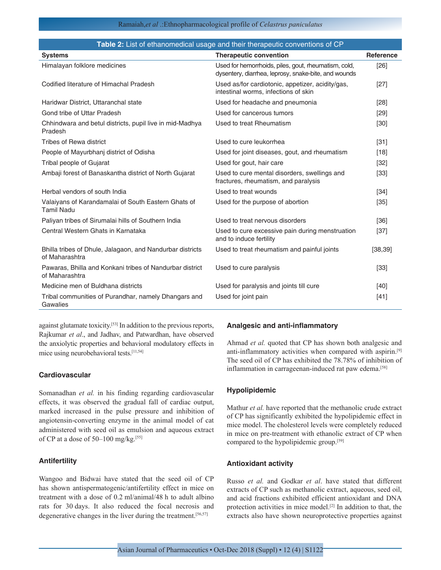## Ramaiah,*et al* .:Ethnopharmacological profile of *Celastrus paniculatus*

| Table 2: List of ethanomedical usage and their therapeutic conventions of CP |                                                                                                              |                  |  |  |
|------------------------------------------------------------------------------|--------------------------------------------------------------------------------------------------------------|------------------|--|--|
| <b>Systems</b>                                                               | <b>Therapeutic convention</b>                                                                                | <b>Reference</b> |  |  |
| Himalayan folklore medicines                                                 | Used for hemorrhoids, piles, gout, rheumatism, cold,<br>dysentery, diarrhea, leprosy, snake-bite, and wounds | [26]             |  |  |
| Codified literature of Himachal Pradesh                                      | Used as/for cardiotonic, appetizer, acidity/gas,<br>intestinal worms, infections of skin                     | $[27]$           |  |  |
| Haridwar District, Uttaranchal state                                         | Used for headache and pneumonia                                                                              | [28]             |  |  |
| Gond tribe of Uttar Pradesh                                                  | Used for cancerous tumors                                                                                    | $[29]$           |  |  |
| Chhindwara and betul districts, pupil live in mid-Madhya<br>Pradesh          | Used to treat Rheumatism                                                                                     | $[30]$           |  |  |
| Tribes of Rewa district                                                      | Used to cure leukorrhea                                                                                      | $[31]$           |  |  |
| People of Mayurbhanj district of Odisha                                      | Used for joint diseases, gout, and rheumatism                                                                | $[18]$           |  |  |
| Tribal people of Gujarat                                                     | Used for gout, hair care                                                                                     | $[32]$           |  |  |
| Ambaji forest of Banaskantha district of North Gujarat                       | Used to cure mental disorders, swellings and<br>fractures, rheumatism, and paralysis                         | $[33]$           |  |  |
| Herbal vendors of south India                                                | Used to treat wounds                                                                                         | $[34]$           |  |  |
| Valaiyans of Karandamalai of South Eastern Ghats of<br><b>Tamil Nadu</b>     | Used for the purpose of abortion                                                                             | $[35]$           |  |  |
| Paliyan tribes of Sirumalai hills of Southern India                          | Used to treat nervous disorders                                                                              | $[36]$           |  |  |
| Central Western Ghats in Karnataka                                           | Used to cure excessive pain during menstruation<br>and to induce fertility                                   | $[37]$           |  |  |
| Bhilla tribes of Dhule, Jalagaon, and Nandurbar districts<br>of Maharashtra  | Used to treat rheumatism and painful joints                                                                  | [38, 39]         |  |  |
| Pawaras, Bhilla and Konkani tribes of Nandurbar district<br>of Maharashtra   | Used to cure paralysis                                                                                       | $[33]$           |  |  |
| Medicine men of Buldhana districts                                           | Used for paralysis and joints till cure                                                                      | $[40]$           |  |  |
| Tribal communities of Purandhar, namely Dhangars and<br>Gawalies             | Used for joint pain                                                                                          | $[41]$           |  |  |

against glutamate toxicity.[53] In addition to the previous reports, Rajkumar *et al*., and Jadhav, and Patwardhan, have observed the anxiolytic properties and behavioral modulatory effects in mice using neurobehavioral tests.[11,54]

# **Cardiovascular**

Somanadhan *et al.* in his finding regarding cardiovascular effects, it was observed the gradual fall of cardiac output, marked increased in the pulse pressure and inhibition of angiotensin-converting enzyme in the animal model of cat administered with seed oil as emulsion and aqueous extract of CP at a dose of 50–100 mg/kg.[55]

# **Antifertility**

Wangoo and Bidwai have stated that the seed oil of CP has shown antispermatogenic/antifertility effect in mice on treatment with a dose of 0.2 ml/animal/48 h to adult albino rats for 30 days. It also reduced the focal necrosis and degenerative changes in the liver during the treatment.<sup>[56,57]</sup>

# **Analgesic and anti-inflammatory**

Ahmad *et al.* quoted that CP has shown both analgesic and anti-inflammatory activities when compared with aspirin.[9] The seed oil of CP has exhibited the 78.78% of inhibition of inflammation in carrageenan-induced rat paw edema.<sup>[58]</sup>

#### **Hypolipidemic**

Mathur *et al.* have reported that the methanolic crude extract of CP has significantly exhibited the hypolipidemic effect in mice model. The cholesterol levels were completely reduced in mice on pre-treatment with ethanolic extract of CP when compared to the hypolipidemic group.[59]

# **Antioxidant activity**

Russo *et al.* and Godkar *et al*. have stated that different extracts of CP such as methanolic extract, aqueous, seed oil, and acid fractions exhibited efficient antioxidant and DNA protection activities in mice model.[2] In addition to that, the extracts also have shown neuroprotective properties against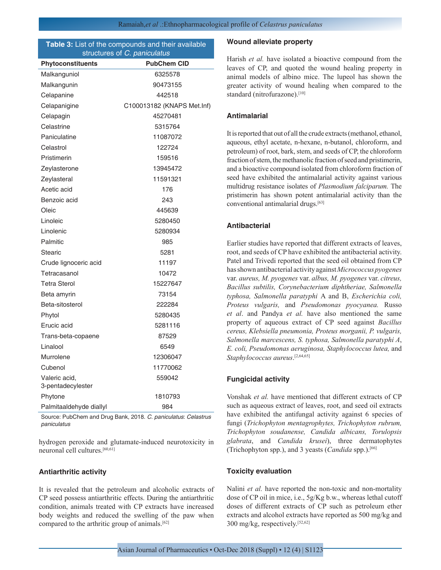#### **Table 3:** List of the compounds and their available structures of *C. paniculatus*

| Phytoconstituents                  | <b>PubChem CID</b>         |
|------------------------------------|----------------------------|
| Malkanguniol                       | 6325578                    |
| Malkangunin                        | 90473155                   |
| Celapanine                         | 442518                     |
| Celapanigine                       | C100013182 (KNAPS Met.Inf) |
| Celapagin                          | 45270481                   |
| Celastrine                         | 5315764                    |
| Paniculatine                       | 11087072                   |
| Celastrol                          | 122724                     |
| Pristimerin                        | 159516                     |
| Zeylasterone                       | 13945472                   |
| Zeylasteral                        | 11591321                   |
| Acetic acid                        | 176                        |
| Benzoic acid                       | 243                        |
| Oleic                              | 445639                     |
| Linoleic                           | 5280450                    |
| Linolenic                          | 5280934                    |
| Palmitic                           | 985                        |
| Stearic                            | 5281                       |
| Crude lignoceric acid              | 11197                      |
| Tetracasanol                       | 10472                      |
| <b>Tetra Sterol</b>                | 15227647                   |
| Beta amyrin                        | 73154                      |
| Beta-sitosterol                    | 222284                     |
| Phytol                             | 5280435                    |
| Erucic acid                        | 5281116                    |
| Trans-beta-copaene                 | 87529                      |
| Linalool                           | 6549                       |
| Murrolene                          | 12306047                   |
| Cubenol                            | 11770062                   |
| Valeric acid,<br>3-pentadecylester | 559042                     |
| Phytone                            | 1810793                    |
| Palmitaaldehyde diallyl            | 984                        |

Source: PubChem and Drug Bank, 2018. *C. paniculatus*: *Celastrus paniculatus*

hydrogen peroxide and glutamate-induced neurotoxicity in neuronal cell cultures.[60,61]

#### **Antiarthritic activity**

It is revealed that the petroleum and alcoholic extracts of CP seed possess antiarthritic effects. During the antiarthritic condition, animals treated with CP extracts have increased body weights and reduced the swelling of the paw when compared to the arthritic group of animals.[62]

#### **Wound alleviate property**

Harish *et al.* have isolated a bioactive compound from the leaves of CP, and quoted the wound healing property in animal models of albino mice. The lupeol has shown the greater activity of wound healing when compared to the standard (nitrofurazone).<sup>[10]</sup>

## **Antimalarial**

It is reported that out of all the crude extracts (methanol, ethanol, aqueous, ethyl acetate, n-hexane, n-butanol, chloroform, and petroleum) of root, bark, stem, and seeds of CP, the chloroform fraction of stem, the methanolic fraction of seed and pristimerin, and a bioactive compound isolated from chloroform fraction of seed have exhibited the antimalarial activity against various multidrug resistance isolates of *Plasmodium falciparum.* The pristimerin has shown potent antimalarial activity than the conventional antimalarial drugs.[63]

#### **Antibacterial**

Earlier studies have reported that different extracts of leaves, root, and seeds of CP have exhibited the antibacterial activity. Patel and Trivedi reported that the seed oil obtained from CP has shown antibacterial activity against *Micrococcus pyogenes*  var. *aureus, M. pyogenes* var. *albus, M. pyogenes* var. *citreus, Bacillus subtilis, Corynebacterium diphtheriae, Salmonella typhosa, Salmonella paratyphi* A and B, *Escherichia coli, Proteus vulgaris,* and *Pseudomonas pyocyanea.* Russo *et al*. and Pandya *et al.* have also mentioned the same property of aqueous extract of CP seed against *Bacillus cereus, Klebsiella pneumonia, Proteus morganii, P. vulgaris, Salmonella marcescens, S. typhosa, Salmonella paratyphi A*, *E. coli, Pseudomonas aeruginosa, Staphylococcus lutea,* and *Staphylococcus aureus*. [2,64,65]

## **Fungicidal activity**

Vonshak *et al.* have mentioned that different extracts of CP such as aqueous extract of leaves, root, and seed oil extracts have exhibited the antifungal activity against 6 species of fungi (*Trichophyton mentagrophytes, Trichophyton rubrum, Trichophyton soudanense, Candida albicans, Torulopsis glabrata*, and *Candida krusei*), three dermatophytes (Trichophyton spp.), and 3 yeasts (*Candida* spp.).[66]

#### **Toxicity evaluation**

Nalini *et al.* have reported the non-toxic and non-mortality dose of CP oil in mice, i.e., 5g/Kg b.w., whereas lethal cutoff doses of different extracts of CP such as petroleum ether extracts and alcohol extracts have reported as 500 mg/kg and 300 mg/kg, respectively.[52,62]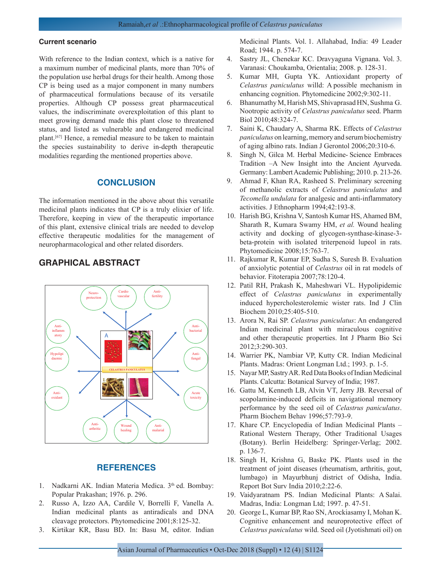#### **Current scenario**

With reference to the Indian context, which is a native for a maximum number of medicinal plants, more than 70% of the population use herbal drugs for their health. Among those CP is being used as a major component in many numbers of pharmaceutical formulations because of its versatile properties. Although CP possess great pharmaceutical values, the indiscriminate overexploitation of this plant to meet growing demand made this plant close to threatened status, and listed as vulnerable and endangered medicinal plant.[67] Hence, a remedial measure to be taken to maintain the species sustainability to derive in-depth therapeutic modalities regarding the mentioned properties above.

# **CONCLUSION**

The information mentioned in the above about this versatile medicinal plants indicates that CP is a truly elixier of life. Therefore, keeping in view of the therapeutic importance of this plant, extensive clinical trials are needed to develop effective therapeutic modalities for the management of neuropharmacological and other related disorders.

# **GRAPHICAL ABSTRACT**



# **REFERENCES**

- 1. Nadkarni AK. Indian Materia Medica. 3<sup>th</sup> ed. Bombay: Popular Prakashan; 1976. p. 296.
- 2. Russo A, Izzo AA, Cardile V, Borrelli F, Vanella A. Indian medicinal plants as antiradicals and DNA cleavage protectors. Phytomedicine 2001;8:125-32.
- 3. Kirtikar KR, Basu BD. In: Basu M, editor. Indian

Medicinal Plants. Vol. 1. Allahabad, India: 49 Leader Road; 1944. p. 574-7.

- 4. Sastry JL, Chenekar KC. Dravyaguna Vignana. Vol. 3. Varanasi: Choukamba, Orientalia; 2008. p. 128-31.
- 5. Kumar MH, Gupta YK. Antioxidant property of *Celastrus paniculatus* willd: A possible mechanism in enhancing cognition. Phytomedicine 2002;9:302-11.
- 6. Bhanumathy M, Harish MS, Shivaprasad HN, Sushma G. Nootropic activity of *Celastrus paniculatus* seed. Pharm Biol 2010;48:324-7.
- 7. Saini K, Chaudary A, Sharma RK. Effects of *Celastrus paniculatus* on learning, memory and serum biochemistry of aging albino rats. Indian J Gerontol 2006;20:310-6.
- 8. Singh N, Gilca M. Herbal Medicine- Science Embraces Tradition –A New Insight into the Ancient Ayurveda. Germany: Lambert Academic Publishing; 2010. p. 213-26.
- 9. Ahmad F, Khan RA, Rasheed S. Preliminary screening of methanolic extracts of *Celastrus paniculatus* and *Tecomella undulata* for analgesic and anti-inflammatory activities. J Ethnopharm 1994;42:193-8.
- 10. Harish BG, Krishna V, Santosh Kumar HS, Ahamed BM, Sharath R, Kumara Swamy HM, *et al.* Wound healing activity and docking of glycogen-synthase-kinase-3 beta-protein with isolated triterpenoid lupeol in rats. Phytomedicine 2008;15:763-7.
- 11. Rajkumar R, Kumar EP, Sudha S, Suresh B. Evaluation of anxiolytic potential of *Celastrus* oil in rat models of behavior. Fitoterapia 2007;78:120-4.
- 12. Patil RH, Prakash K, Maheshwari VL. Hypolipidemic effect of *Celastrus paniculatus* in experimentally induced hypercholesterolemic wister rats. Ind J Clin Biochem 2010;25:405-510.
- 13. Arora N, Rai SP. *Celastrus paniculatus*: An endangered Indian medicinal plant with miraculous cognitive and other therapeutic properties. Int J Pharm Bio Sci 2012;3:290-303.
- 14. Warrier PK, Nambiar VP, Kutty CR. Indian Medicinal Plants. Madras: Orient Longman Ltd.; 1993. p. 1-5.
- 15. Nayar MP, Sastry AR. Red Data Books of Indian Medicinal Plants. Calcutta: Botanical Survey of India; 1987.
- 16. Gattu M, Kenneth LB, Alvin VT, Jerry JB. Reversal of scopolamine-induced deficits in navigational memory performance by the seed oil of *Celastrus paniculatus*. Pharm Biochem Behav 1996;57:793-9.
- 17. Khare CP. Encyclopedia of Indian Medicinal Plants Rational Western Therapy, Other Traditional Usages (Botany). Berlin Heidelberg: Springer-Verlag; 2002. p. 136-7.
- 18. Singh H, Krishna G, Baske PK. Plants used in the treatment of joint diseases (rheumatism, arthritis, gout, lumbago) in Mayurbhunj district of Odisha, India. Report Bot Surv India 2010;2:22-6.
- 19. Vaidyaratnam PS. Indian Medicinal Plants: A Salai. Madras, India: Longman Ltd; 1997. p. 47-51.
- 20. George L, Kumar BP, Rao SN, Arockiasamy I, Mohan K. Cognitive enhancement and neuroprotective effect of *Celastrus paniculatus* wild. Seed oil (Jyotishmati oil) on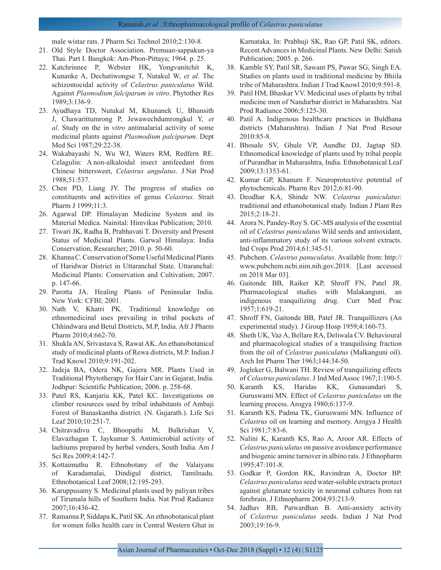#### Ramaiah,*et al* .:Ethnopharmacological profile of *Celastrus paniculatus*

male wistar rats. J Pharm Sci Technol 2010;2:130-8.

- 21. Old Style Doctor Association. Premuan-sappakun-ya Thai. Part I. Bangkok: Am-Phon-Pittaya; 1964. p. 25.
- 22. Katchrinnee P, Webster HK, Yongvanitchit K, Kunanke A, Dechatiwongse T, Nutakul W, *et al*. The schizontocidal activity of *Celastrus paniculatus* Wild. Against *Plasmodium falciparum in vitro*. Phytother Res 1989;3:136-9.
- 23. Ayudhaya TD, Nutukal M, Khunanek U, Bhunsith J, Chawarittumrong P, Jewawechdumrongkul Y, *et al*. Study on the in *vitro* antimalarial activity of some medicinal plants against *Plasmodium palciparum*. Dept Med Sci 1987;29:22-38.
- 24. Wakabayashi N, Wu WJ, Waters RM, Redfern RE. Celagulin: A non-alkaloidal insect antifeedant from Chinese bittersweet, *Celastrus angulatus*. J Nat Prod 1988;51:537.
- 25. Chen PD, Liang JY. The progress of studies on constituents and activities of genus *Celastrus*. Strait Pharm J 1999;11:3.
- 26. Agarwal DP. Himalayan Medicine System and its Material Medica. Nainital: Himvikas Publication; 2010.
- 27. Tiwari JK, Radha B, Prabhavati T. Diversity and Present Status of Medicinal Plants. Garwal Himalaya: India Conservation, Researcher; 2010. p. 50-60.
- 28. Khanna C. Conservation of Some Useful Medicinal Plants of Haridwar District in Uttaranchal State. Uttaranchal: Medicinal Plants: Conservation and Cultivation; 2007. p. 147-66.
- 29. Parotta JA. Healing Plants of Peninsular India. New York: CFBI; 2001.
- 30. Nath V, Khatri PK. Traditional knowledge on ethnomedicinal uses prevailing in tribal pockets of Chhindwara and Betul Districts, M.P, India. Afr J Pharm Pharm 2010;4:662-70.
- 31. Shukla AN, Srivastava S, Rawat AK. An ethanobotanical study of medicinal plants of Rewa districts, M.P. Indian J Trad Knowl 2010;9:191-202.
- 32. Jadeja BA, Odera NK, Gajera MR. Plants Used in Traditional Phytotherapy for Hair Care in Gujarat, India. Jodhpur: Scientific Publication; 2006. p. 258-68.
- 33. Patel RS, Kanjaria KK, Patel KC. Investigations on climber resources used by tribal inhabitants of Ambaji Forest of Banaskantha district. (N. Gujarath.). Life Sci Leaf 2010;10:251-7.
- 34. Chitravadivu C, Bhoopathi M, Balkrishan V, Elavazhagan T, Jaykumar S. Antimicrobial activity of laehiums prepared by herbal venders, South India. Am J Sci Res 2009;4:142-7.
- 35. Kottaimuthu R. Ethnobotany of the Valaiyans of Karadamalai, Dindigul district, Tamilnadu. Ethnobotanical Leaf 2008;12:195-293.
- 36. Karuppusamy S. Medicinal plants used by paliyan tribes of Tirumala hills of Southern India. Nat Prod Radiance 2007;16:436-42.
- 37. Ramanna P, Siddapa K, Patil SK. An ethnobotanical plant for women folks health care in Central Western Ghat in

Karnataka. In: Prabhuji SK, Rao GP, Patil SK, editors. Recent Advances in Medicinal Plants. New Delhi: Satish Publication; 2005. p. 266.

- 38. Kamble SY, Patil SR, Sawant PS, Pawar SG, Singh EA. Studies on plants used in traditional medicine by Bhiila tribe of Maharashtra. Indian J Trad Knowl 2010;9:591-8.
- 39. Patil HM, Bhaskar VV. Medicinal uses of plants by tribal medicine men of Nandurbar district in Maharashtra. Nat Prod Radiance 2006;5:125-30.
- 40. Patil A. Indigenous healthcare practices in Buldhana districts (Maharashtra). Indian J Nat Prod Resour 2010:85-8.
- 41. Bhosale SV, Ghule VP, Aundhe DJ, Jagtap SD. Ethnomedical knowledge of plants used by tribal people of Purandhar in Maharashtra, India. Ethnobotanical Leaf 2009;13:1353-61.
- 42. Kumar GP, Khanum F. Neuroprotective potential of phytochemicals. Pharm Rev 2012;6:81-90.
- 43. Deodhar KA, Shinde NW. *Celastrus paniculatus*: traditional and ethanobotanical study. Indian J Plant Res 2015;2:18-21.
- 44. Arora N, Pandey-Roy S. GC-MS analysis of the essential oil of *Celastrus paniculatus* Wild seeds and antioxidant, anti-inflammatory study of its various solvent extracts. Ind Crops Prod 2014;61:345-51.
- 45. Pubchem. *Celastrus panuculatus*. Available from: http:// www.pubchem.ncbi.nim.nih.gov.2018. [Last accessed on 2018 Mar 03].
- 46. Gaitonde BB, Raiker KP, Shroff FN, Patel JR. Pharmacological studies with Malakanguni, an indigenous tranquilizing drug. Curr Med Prac 1957;1:619-21.
- 47. Shroff FN, Gaitonde BB, Patel JR. Tranquillizers (An experimental study). J Group Hosp 1959;4:160-73.
- 48. Sheth UK, Vaz A, Bellare RA, Deliwala CV. Behavioural and pharmacological studies of a tranquilising fraction from the oil of *Celastrus paniculatus* (Malkanguni oil). Arch Int Pharm Ther 1963;144:34-50.
- 49. Jogleker G, Balwani TH. Review of tranquilizing effects of *Celastrus paniculatus*. J Ind Med Assoc 1967;1:190-5.
- 50. Karanth KS, Haridas KK, Gunasundari S, Guruswami MN. Effect of *Celastrus paniculatus* on the learning process. Arogya 1980;6:137-9.
- 51. Karanth KS, Padma TK, Guruswami MN. Influence of *Celastrus* oil on learning and memory. Arogya J Health Sci 1981;7:83-6.
- 52. Nalini K, Karanth KS, Rao A, Aroor AR. Effects of *Celastrus paniculatus* on passive avoidance performance and biogenic amine turnover in albino rats. J Ethnopharm 1995;47:101-8.
- 53. Godkar P, Gordon RK, Ravindran A, Doctor BP. *Celastrus paniculatus* seed water-soluble extracts protect against glutamate toxicity in neuronal cultures from rat forebrain. J Ethnopharm 2004;93:213-9.
- 54. Jadhav RB, Patwardhan B. Anti-anxiety activity of *Celastrus paniculatus* seeds. Indian J Nat Prod 2003;19:16-9.